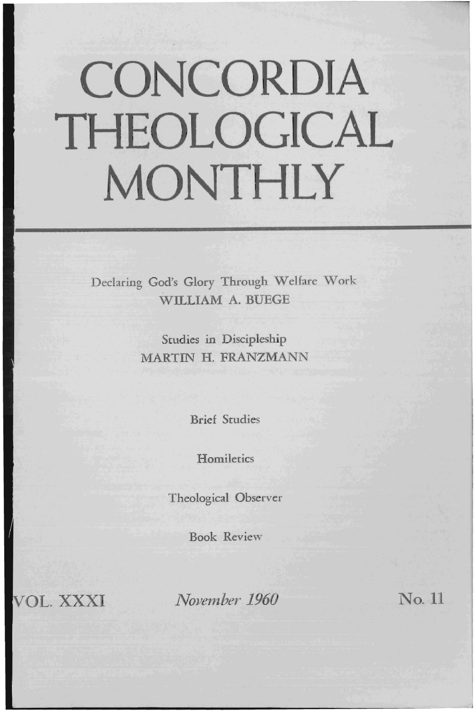# **CONCORDIA THEOLOGICAL MONTHLY**

Declaring God's Glory Through Welfare Work WILLIAM A. BUEGE

> Studies in Discipleship MARTIN H. FRANZMANN

> > Brief Studies

**Homiletics** 

Theological Observer

Book Review

**TOL. XXXI** 

*November 1960* No. 11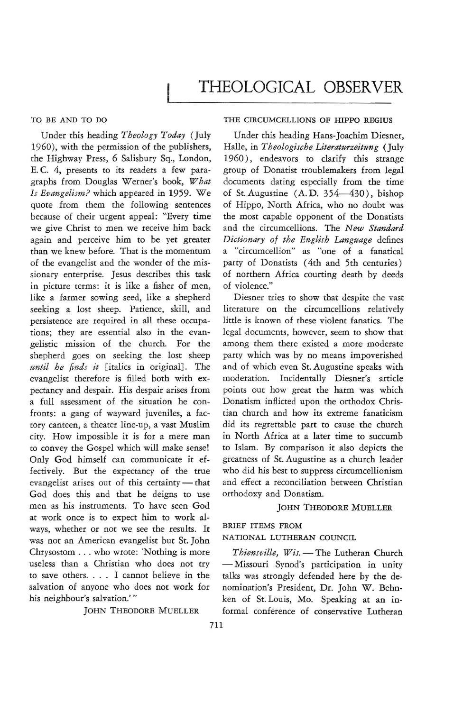## TO BE AND TO DO

Under this heading *Theology Today* (July 1960), with the permission of the publishers, the Highway Press, 6 Salisbury Sq., London, E. C. 4, presents to its readers a few paragraphs from Douglas Werner's book, *What Is Evangelism?* which appeared in 1959. We quote from them the following sentences because of their urgent appeal: "Every time we give Christ to men we receive him back again and perceive him to be yet greater than we knew before. That is the momentum of the evangelist and the wonder of the missionary enterprise. Jesus describes this task in picture terms: it is like a fisher of men, like a farmer sowing seed, like a shepherd seeking a lost sheep. Patience, skill, and persistence are required in all these occupations; they are essential also in the evangelistic mission of the church. For the shepherd goes on seeking the lost sheep *until he finds it* [italics in original}. The evangelist therefore is filled both with expectancyand despair. His despair arises from a full assessment of the situation he confronts: a gang of wayward juveniles, a factory canteen, a theater line-up, a vast Muslim city. How impossible it is for a mere man to convey the Gospel which will make sense! Only God himself can communicate it effectively. But the expectancy of the true evangelist arises out of this certainty - that God does this and that he deigns to use men as his instruments. To have seen God at work once is to expect him to work always, whether or not we see the results. It was not an American evangelist but St. John Chrysostom ... who wrote: 'Nothing is more useless than a Christian who does not try to save others. . . . I cannot believe in the salvation of anyone who does not work for his neighbour's salvation.'''

JOHN THEODORE MUELLER

# THE CIRCUMCELLIONS OF HIPPO REGIUS

Under this heading Hans-Joachim Diesner, Halle, in *Theologische Literaturzeitung* (July 1960), endeavors to clarify this strange group of Donatist troublemakers from legal documents dating especially from the time of St. Augustine  $(A, D, 354-430)$ , bishop of Hippo, North Africa, who no doubt was the most capable opponent of the Donatists and the circumcellions. The *New Standard Dictionary of the English Language* defines a "circumcellion" as "one of a fanatical party of Donatists (4th and 5th centuries) of northern Africa courting death by deeds of violence."

Diesner tries to show that despite the vast literature on the circumcellions relatively little is known of these violent fanatics. The legal documents, however, seem to show that among them there existed a more moderate party which was by no means impoverished and of which even St. Augustine speaks with moderation. Incidentally Diesner's article points out how great the harm was which Donatism inflicted upon the orthodox Christian church and how its extreme fanaticism did *its* regrettable part to cause the church in North Africa at a later time to succumb to Islam. By comparison it also depicts the greatness of St. Augustine as a church leader who did his best to suppress circumcellionism and effect a reconciliation between Christian orthodoxy and Donatism.

### JOHN THEODORE MUELLER

### BRIEF ITEMS FROM

NATIONAL LUTHERAN COUNCIL

*Thiensville, Wis.-The* Lutheran Church - Missouri Synod's participation in unity talks was strongly defended here by the denomination's President, Dr. John W. Behnken of St. Louis, Mo. Speaking at an informal conference of conservative Lutheran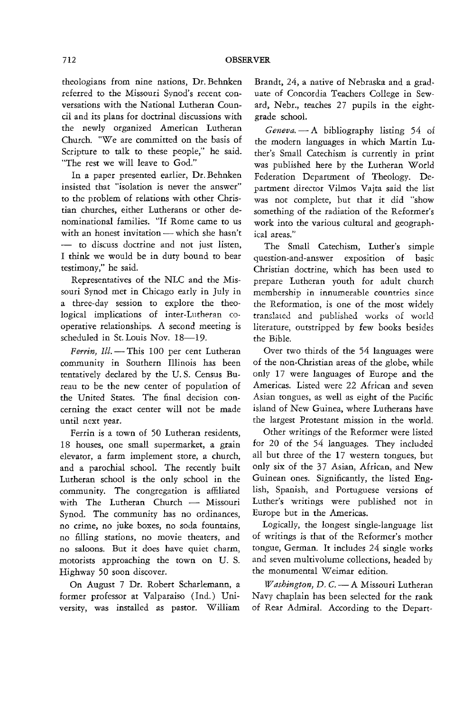theologians from nine nations, Dr. Behnken referred to the Missouri Synod's recent conversations with the National Lutheran Council and its plans for doctrinal discussions with the newly organized American Lutheran Church. "We are committed on the basis of Scripture to talk to these people," he said. "The rest we will leave to God."

In a paper presented earlier, Dr. Behnken insisted that "isolation is never the answer" to the problem of relations with other Christian churches, either Lutherans or other denominational families. "If Rome came to us with an honest invitation - which she hasn't - to discuss doctrine and not just listen, I think we would be in duty bound to bear testimony," he said.

Representatives of the NLC and the Missouri Synod met in Chicago early in July in a three-day session to explore the theological implications of inter-Lutheran cooperative relationships. A second meeting is scheduled in St. Louis Nov. 18-19.

Ferrin, Ill. - This 100 per cent Lutheran community in Southern Illinois has been tentatively declared by the U. S. Census Bureau to be the new center of population of the United States. The final decision concerning the exact center will not be made until next year.

Ferrin is a town of 50 Lutheran residents, 18 houses, one small supermarket, a grain elevator, a farm implement store, a church, and a parochial school. The recently built Lutheran school is the only school in the community. The congregation is affiliated with The Lutheran Church - Missouri Synod. The community has no ordinances, no crime, no juke boxes, no soda fountains, no filling stations, no movie theaters, and no saloons. But it does have quiet charm, motorists approaching the town on U. S. Highway 50 soon discover.

On August 7 Dr. Robert Scharlemann, a former professor at Valparaiso (Ind.) University, was installed as pastor. William

Brandt, 24, a native of Nebraska and a graduate of Concordia Teachers College in Seward, Nebr., teaches 27 pupils in the eightgrade school.

Geneva. - A bibliography listing 54 of the modern languages in which Martin Luther's Small Catechism is currently in print was published here by the Lutheran World Federation Department of Theology. Department director Vilmos Vajta said the list was not complete, but that it did "show something of the radiation of the Reformer's work into the various cultural and geographical areas."

The Small Catechism, Luther's simple question-and-answer exposition of basic Christian doctrine, which has been used to prepare Lutheran youth for adult church membership in innumerable countries since the Reformation, is one of the most widely translated and published works of world literature, outstripped by few books besides the Bible.

Over two thirds of the 54 languages were of the non-Christian areas of the globe, while only 17 were languages of Europe and the Americas. Listed were 22 African and seven Asian tongues, as well as eight of the Pacific island of New Guinea, where Lutherans have the largest Protestant mission in the world.

Other writings of the Reformer were listed for 20 of the 54 languages. They included all but three of the 17 western tongues, but only six of the 37 Asian, African, and New Guinean ones. Significantly, the listed English, Spanish, and Portuguese versions of Luther's writings were published not in Europe but in the Americas.

Logically, the longest single-language list of writings is that of the Reformer's mother tongue, German. It includes 24 single works and seven multivolume collections, headed by the monumental Weimar edition.

*Washington, D.C.* — A Missouri Lutheran Navy chaplain has been selected for the rank of Rear Admiral. According to the Depart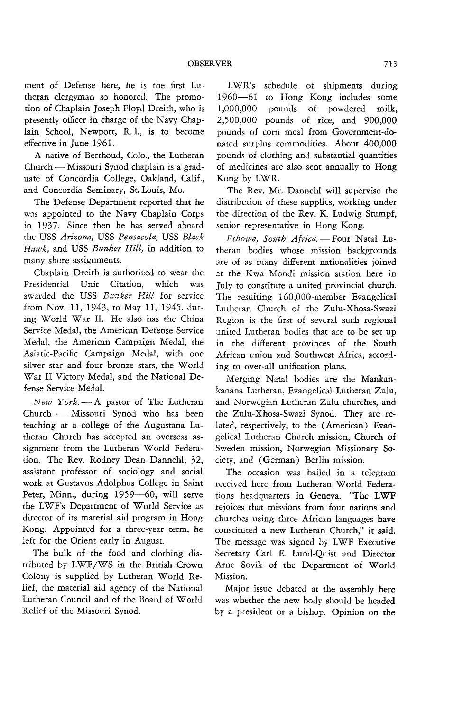ment of Defense here, he is the first Lutheran clergyman so honored. The promotion of Chaplain Joseph Floyd Dreith, who is presently officer in charge of the Navy Chaplain School, Newport, R. 1., is to become effective in June 1961.

A native of Berthoud, Colo., the Lutheran Church - Missouri Synod chaplain *is* a graduate of Concordia College, Oakland, Calif., and Concordia Seminary, St. Louis, Mo.

The Defense Department reported that he was appointed to the Navy Chaplain Corps in 1937. Since then he has served aboard the USS *Arizona,* USS *Pensacola,* USS *Black Hawk,* and USS *Bunker Hill,* in addition to many shore assignments.

Chaplain Dreith is authorized to wear the Presidential Unit Citation, which was awarded the USS *Bunker- Hill* for service from Nov. 11, 1943, to May 11, 1945, during World War II. He also has the China Service Medal, the American Defense Service Medal, the American Campaign Medal, the Asiatic-Pacific Campaign Medal, with one silver star and four bronze stars, the World War II Victory Medal, and the National Defense Service Medal.

*New York.-A* pastor of The Lutheran Church - Missouri Synod who has been teaching at a college of the Augustana Lutheran Church has accepted an overseas assignment from the Lutheran World Federation. The *Rev.* Rodney Dean Dannehl, 32, assistant professor of sociology and social work at Gustavus Adolphus College in Saint Peter, Minn., during 1959-60, will serve the LWF's Department of World Service as director of its material aid program in Hong Kong. Appointed for a three-year term, he left for the Orient early in August.

The bulk of the food and clothing distributed by LWF/WS in the British Crown Colony is supplied by Lutheran World Relief, the material aid agency of the National Lutheran Council and of the Board of World Relief of the Missouri Synod.

LWR's schedule of shipments during 1960-61 1,000,000 2,500,000 pounds of rice, and 900,000 to Hong Kong includes some pounds of powdered milk, pounds of corn meal from Government-donated surplus commodities. About 400,000 pounds of clothing and substantial quantities of medicines are also sent annually to Hong Kong by LWR.

The Rev. Mr. Dannehl will supervise the distribution of these supplies, working under the direction of the Rev. K. Ludwig Stumpf, senior representative in Hong Kong.

*Eshowe, South Africa.* - Four Natal Lutheran bodies whose mission backgrounds are of as many different nationalities joined at the Kwa Mondi mission station here in July to constitute a united provincial church. The resulting 160,OOO-member Evangelical Lutheran Church of the Zulu-Xhosa-Swazi Region is the first of several such regional united Lutheran bodies that are to be set up in the different provinces of the South African union and Southwest Africa, according to over-all unification plans.

Merging Natal bodies are the Mankankanana Lutheran, Evangelical Lutheran Zulu, and Norwegian Lutheran Zulu churches, and the Zulu-Xhosa-Swazi Synod. They are related, respectively, to the (American) Evangelical Lutheran Church mission, Church of Sweden mission, Norwegian Missionary Society, and (German) Berlin mission.

The occasion was hailed in a telegram received here from Lutheran World Federations headquarters in Geneva. "The LWF rejoices that missions from four nations and churches using three African languages have constituted a new Lutheran Church," it said. The message was signed by LWF Executive Secretary Carl E. Lund-Quist and Director Arne Sovik of the Department of World Mission.

Major issue debated at the assembly here was whether the new body should be headed by a president or a bishop. Opinion on the